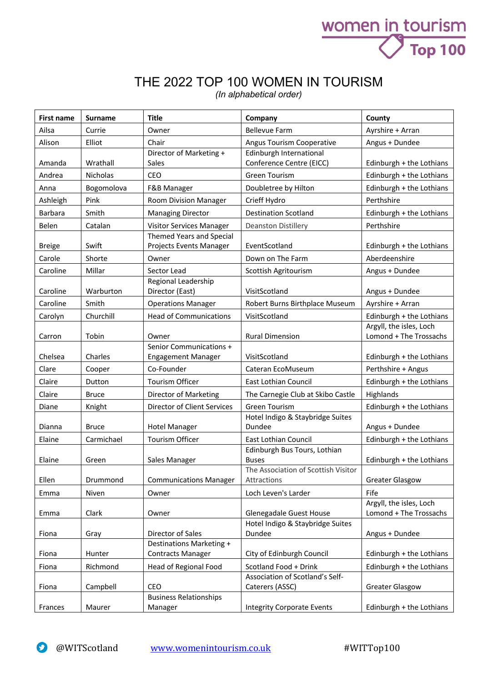## THE 2022 TOP 100 WOMEN IN TOURISM

women in tourism

**Top 100** 

*(In alphabetical order)*

| <b>First name</b> | <b>Surname</b>  | <b>Title</b>                  | Company                                                  | County                                            |
|-------------------|-----------------|-------------------------------|----------------------------------------------------------|---------------------------------------------------|
| Ailsa             | Currie          | Owner                         | <b>Bellevue Farm</b>                                     | Ayrshire + Arran                                  |
| Alison            | Elliot          | Chair                         | Angus Tourism Cooperative                                | Angus + Dundee                                    |
|                   |                 | Director of Marketing +       | Edinburgh International                                  |                                                   |
| Amanda            | Wrathall        | Sales                         | Conference Centre (EICC)                                 | Edinburgh + the Lothians                          |
| Andrea            | <b>Nicholas</b> | <b>CEO</b>                    | <b>Green Tourism</b>                                     | Edinburgh + the Lothians                          |
| Anna              | Bogomolova      | F&B Manager                   | Doubletree by Hilton                                     | Edinburgh + the Lothians                          |
| Ashleigh          | Pink            | <b>Room Division Manager</b>  | Crieff Hydro                                             | Perthshire                                        |
| <b>Barbara</b>    | Smith           | <b>Managing Director</b>      | <b>Destination Scotland</b>                              | Edinburgh + the Lothians                          |
| Belen             | Catalan         | Visitor Services Manager      | <b>Deanston Distillery</b>                               | Perthshire                                        |
|                   |                 | Themed Years and Special      |                                                          |                                                   |
| <b>Breige</b>     | Swift           | Projects Events Manager       | EventScotland                                            | Edinburgh + the Lothians                          |
| Carole            | Shorte          | Owner                         | Down on The Farm                                         | Aberdeenshire                                     |
| Caroline          | Millar          | Sector Lead                   | Scottish Agritourism                                     | Angus + Dundee                                    |
|                   |                 | Regional Leadership           |                                                          |                                                   |
| Caroline          | Warburton       | Director (East)               | VisitScotland                                            | Angus + Dundee                                    |
| Caroline          | Smith           | <b>Operations Manager</b>     | Robert Burns Birthplace Museum                           | Ayrshire + Arran                                  |
| Carolyn           | Churchill       | <b>Head of Communications</b> | VisitScotland                                            | Edinburgh + the Lothians                          |
| Carron            | Tobin           | Owner                         | <b>Rural Dimension</b>                                   | Argyll, the isles, Loch<br>Lomond + The Trossachs |
|                   |                 | Senior Communications +       |                                                          |                                                   |
| Chelsea           | Charles         | <b>Engagement Manager</b>     | VisitScotland                                            | Edinburgh + the Lothians                          |
| Clare             | Cooper          | Co-Founder                    | Cateran EcoMuseum                                        | Perthshire + Angus                                |
| Claire            | Dutton          | Tourism Officer               | East Lothian Council                                     | Edinburgh + the Lothians                          |
| Claire            | <b>Bruce</b>    | Director of Marketing         | The Carnegie Club at Skibo Castle                        | Highlands                                         |
| Diane             | Knight          | Director of Client Services   | <b>Green Tourism</b>                                     | Edinburgh + the Lothians                          |
|                   |                 |                               | Hotel Indigo & Staybridge Suites                         |                                                   |
| Dianna            | <b>Bruce</b>    | <b>Hotel Manager</b>          | Dundee                                                   | Angus + Dundee                                    |
| Elaine            | Carmichael      | <b>Tourism Officer</b>        | <b>East Lothian Council</b>                              | Edinburgh + the Lothians                          |
|                   |                 |                               | Edinburgh Bus Tours, Lothian                             |                                                   |
| Elaine            | Green           | Sales Manager                 | <b>Buses</b><br>The Association of Scottish Visitor      | Edinburgh + the Lothians                          |
| Ellen             | Drummond        | <b>Communications Manager</b> | Attractions                                              | <b>Greater Glasgow</b>                            |
| Emma              | Niven           | Owner                         | Loch Leven's Larder                                      | Fife                                              |
|                   |                 |                               |                                                          | Argyll, the isles, Loch                           |
| Emma              | Clark           | Owner                         | Glenegadale Guest House                                  | Lomond + The Trossachs                            |
|                   |                 |                               | Hotel Indigo & Staybridge Suites                         |                                                   |
| Fiona             | Gray            | Director of Sales             | Dundee                                                   | Angus + Dundee                                    |
|                   |                 | Destinations Marketing +      |                                                          |                                                   |
| Fiona             | Hunter          | <b>Contracts Manager</b>      | City of Edinburgh Council                                | Edinburgh + the Lothians                          |
| Fiona             | Richmond        | Head of Regional Food         | Scotland Food + Drink<br>Association of Scotland's Self- | Edinburgh + the Lothians                          |
| Fiona             | Campbell        | CEO                           | Caterers (ASSC)                                          | <b>Greater Glasgow</b>                            |
|                   |                 | <b>Business Relationships</b> |                                                          |                                                   |
| Frances           | Maurer          | Manager                       | <b>Integrity Corporate Events</b>                        | Edinburgh + the Lothians                          |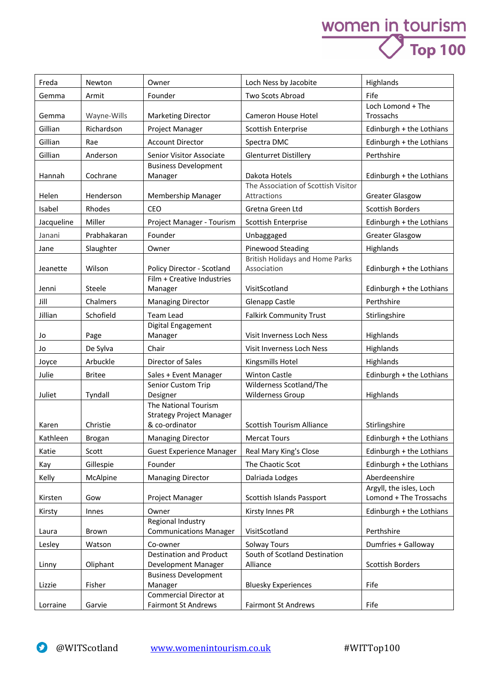## women in tourism<br>
Top 100

| Freda      | Newton        | Owner                                                       | Loch Ness by Jacobite                                 | Highlands                                         |
|------------|---------------|-------------------------------------------------------------|-------------------------------------------------------|---------------------------------------------------|
| Gemma      | Armit         | Founder                                                     | Two Scots Abroad                                      | Fife                                              |
| Gemma      | Wayne-Wills   | <b>Marketing Director</b>                                   | Cameron House Hotel                                   | Loch Lomond + The<br>Trossachs                    |
| Gillian    | Richardson    | Project Manager                                             | <b>Scottish Enterprise</b>                            | Edinburgh + the Lothians                          |
| Gillian    | Rae           | <b>Account Director</b>                                     | Spectra DMC                                           | Edinburgh + the Lothians                          |
| Gillian    | Anderson      | Senior Visitor Associate                                    | <b>Glenturret Distillery</b>                          | Perthshire                                        |
| Hannah     | Cochrane      | <b>Business Development</b><br>Manager                      | Dakota Hotels                                         | Edinburgh + the Lothians                          |
| Helen      | Henderson     | Membership Manager                                          | The Association of Scottish Visitor<br>Attractions    | <b>Greater Glasgow</b>                            |
| Isabel     | Rhodes        | CEO                                                         | Gretna Green Ltd                                      | <b>Scottish Borders</b>                           |
| Jacqueline | Miller        | Project Manager - Tourism                                   | Scottish Enterprise                                   | Edinburgh + the Lothians                          |
| Janani     | Prabhakaran   | Founder                                                     | Unbaggaged                                            | <b>Greater Glasgow</b>                            |
| Jane       | Slaughter     | Owner                                                       | Pinewood Steading                                     | Highlands                                         |
| Jeanette   | Wilson        | Policy Director - Scotland                                  | <b>British Holidays and Home Parks</b><br>Association | Edinburgh + the Lothians                          |
|            |               | Film + Creative Industries                                  |                                                       |                                                   |
| Jenni      | Steele        | Manager                                                     | VisitScotland                                         | Edinburgh + the Lothians                          |
| Jill       | Chalmers      | <b>Managing Director</b>                                    | <b>Glenapp Castle</b>                                 | Perthshire                                        |
| Jillian    | Schofield     | <b>Team Lead</b>                                            | <b>Falkirk Community Trust</b>                        | Stirlingshire                                     |
| Jo         | Page          | Digital Engagement<br>Manager                               | Visit Inverness Loch Ness                             | Highlands                                         |
| Jo         | De Sylva      | Chair                                                       | Visit Inverness Loch Ness                             | Highlands                                         |
| Joyce      | Arbuckle      | Director of Sales                                           | Kingsmills Hotel                                      | Highlands                                         |
| Julie      | <b>Britee</b> | Sales + Event Manager                                       | <b>Winton Castle</b>                                  | Edinburgh + the Lothians                          |
| Juliet     | Tyndall       | Senior Custom Trip<br>Designer                              | Wilderness Scotland/The<br><b>Wilderness Group</b>    | Highlands                                         |
|            |               | The National Tourism<br><b>Strategy Project Manager</b>     |                                                       |                                                   |
| Karen      | Christie      | & co-ordinator                                              | <b>Scottish Tourism Alliance</b>                      | Stirlingshire                                     |
| Kathleen   | Brogan        | <b>Managing Director</b>                                    | <b>Mercat Tours</b>                                   | Edinburgh + the Lothians                          |
| Katie      | Scott         | <b>Guest Experience Manager</b>                             | Real Mary King's Close                                | Edinburgh + the Lothians                          |
| Kay        | Gillespie     | Founder                                                     | The Chaotic Scot                                      | Edinburgh + the Lothians                          |
| Kelly      | McAlpine      | <b>Managing Director</b>                                    | Dalriada Lodges                                       | Aberdeenshire                                     |
| Kirsten    | Gow           | Project Manager                                             | Scottish Islands Passport                             | Argyll, the isles, Loch<br>Lomond + The Trossachs |
| Kirsty     | Innes         | Owner                                                       | Kirsty Innes PR                                       | Edinburgh + the Lothians                          |
| Laura      | Brown         | Regional Industry<br><b>Communications Manager</b>          | VisitScotland                                         | Perthshire                                        |
| Lesley     | Watson        | Co-owner                                                    | <b>Solway Tours</b>                                   | Dumfries + Galloway                               |
| Linny      | Oliphant      | <b>Destination and Product</b><br>Development Manager       | South of Scotland Destination<br>Alliance             | Scottish Borders                                  |
| Lizzie     | Fisher        | <b>Business Development</b><br>Manager                      | <b>Bluesky Experiences</b>                            | Fife                                              |
| Lorraine   | Garvie        | <b>Commercial Director at</b><br><b>Fairmont St Andrews</b> | <b>Fairmont St Andrews</b>                            | Fife                                              |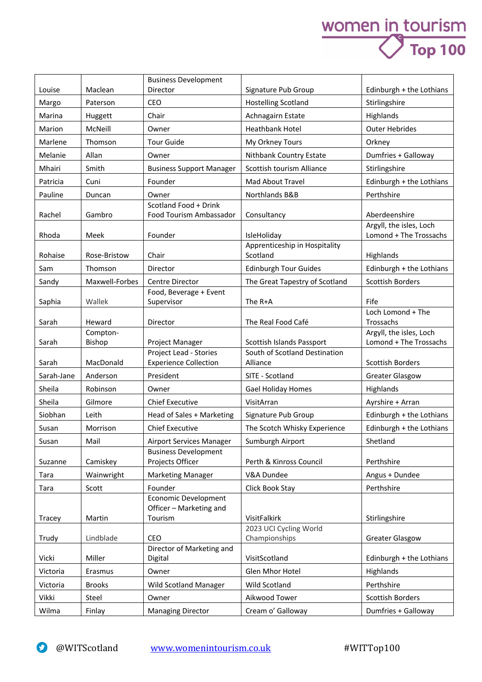## women in tourism<br>
Top 100

|            |                | <b>Business Development</b>                     |                                         |                                                   |
|------------|----------------|-------------------------------------------------|-----------------------------------------|---------------------------------------------------|
| Louise     | Maclean        | Director                                        | Signature Pub Group                     | Edinburgh + the Lothians                          |
| Margo      | Paterson       | <b>CEO</b>                                      | <b>Hostelling Scotland</b>              | Stirlingshire                                     |
| Marina     | Huggett        | Chair                                           | Achnagairn Estate                       | Highlands                                         |
| Marion     | McNeill        | Owner                                           | <b>Heathbank Hotel</b>                  | <b>Outer Hebrides</b>                             |
| Marlene    | Thomson        | <b>Tour Guide</b>                               | My Orkney Tours                         | Orkney                                            |
| Melanie    | Allan          | Owner                                           | Nithbank Country Estate                 | Dumfries + Galloway                               |
| Mhairi     | Smith          | <b>Business Support Manager</b>                 | Scottish tourism Alliance               | Stirlingshire                                     |
| Patricia   | Cuni           | Founder                                         | Mad About Travel                        | Edinburgh + the Lothians                          |
| Pauline    | Duncan         | Owner                                           | Northlands B&B                          | Perthshire                                        |
|            |                | Scotland Food + Drink                           |                                         |                                                   |
| Rachel     | Gambro         | Food Tourism Ambassador                         | Consultancy                             | Aberdeenshire                                     |
| Rhoda      | Meek           | Founder                                         | IsleHoliday                             | Argyll, the isles, Loch<br>Lomond + The Trossachs |
|            |                |                                                 | Apprenticeship in Hospitality           |                                                   |
| Rohaise    | Rose-Bristow   | Chair                                           | Scotland                                | Highlands                                         |
| Sam        | Thomson        | Director                                        | <b>Edinburgh Tour Guides</b>            | Edinburgh + the Lothians                          |
| Sandy      | Maxwell-Forbes | Centre Director                                 | The Great Tapestry of Scotland          | <b>Scottish Borders</b>                           |
|            |                | Food, Beverage + Event                          |                                         |                                                   |
| Saphia     | Wallek         | Supervisor                                      | The R+A                                 | Fife<br>Loch Lomond + The                         |
| Sarah      | Heward         | Director                                        | The Real Food Café                      | Trossachs                                         |
|            | Compton-       |                                                 |                                         | Argyll, the isles, Loch                           |
| Sarah      | Bishop         | Project Manager                                 | Scottish Islands Passport               | Lomond + The Trossachs                            |
|            |                | Project Lead - Stories                          | South of Scotland Destination           |                                                   |
| Sarah      | MacDonald      | <b>Experience Collection</b>                    | Alliance                                | <b>Scottish Borders</b>                           |
| Sarah-Jane | Anderson       | President                                       | SITE - Scotland                         | <b>Greater Glasgow</b>                            |
| Sheila     | Robinson       | Owner                                           | <b>Gael Holiday Homes</b>               | Highlands                                         |
| Sheila     | Gilmore        | <b>Chief Executive</b>                          | VisitArran                              | Ayrshire + Arran                                  |
| Siobhan    | Leith          | Head of Sales + Marketing                       | Signature Pub Group                     | Edinburgh + the Lothians                          |
| Susan      | Morrison       | <b>Chief Executive</b>                          | The Scotch Whisky Experience            | Edinburgh + the Lothians                          |
| Susan      | Mail           | Airport Services Manager                        | Sumburgh Airport                        | Shetland                                          |
| Suzanne    | Camiskey       | <b>Business Development</b><br>Projects Officer | Perth & Kinross Council                 | Perthshire                                        |
| Tara       | Wainwright     | <b>Marketing Manager</b>                        | V&A Dundee                              | Angus + Dundee                                    |
| Tara       | Scott          | Founder                                         | Click Book Stay                         | Perthshire                                        |
|            |                | Economic Development                            |                                         |                                                   |
|            |                | Officer - Marketing and                         |                                         |                                                   |
| Tracey     | Martin         | Tourism                                         | VisitFalkirk                            | Stirlingshire                                     |
| Trudy      | Lindblade      | CEO                                             | 2023 UCI Cycling World<br>Championships | <b>Greater Glasgow</b>                            |
|            |                | Director of Marketing and                       |                                         |                                                   |
| Vicki      | Miller         | Digital                                         | VisitScotland                           | Edinburgh + the Lothians                          |
| Victoria   | Erasmus        | Owner                                           | Glen Mhor Hotel                         | Highlands                                         |
| Victoria   | <b>Brooks</b>  | Wild Scotland Manager                           | Wild Scotland                           | Perthshire                                        |
| Vikki      | Steel          | Owner                                           | Aikwood Tower                           | Scottish Borders                                  |
| Wilma      | Finlay         | <b>Managing Director</b>                        | Cream o' Galloway                       | Dumfries + Galloway                               |